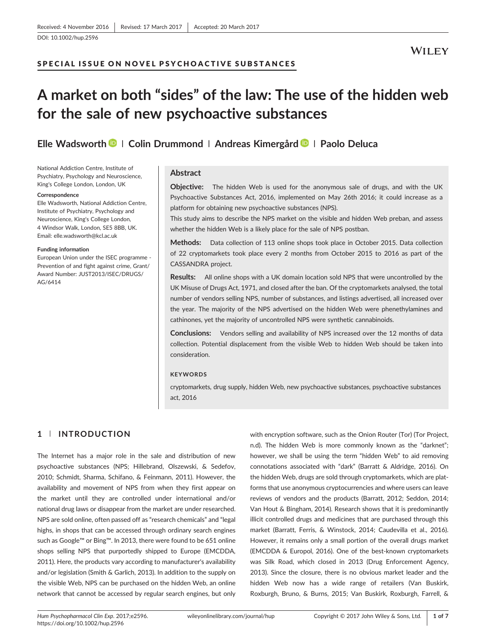# SPECIAL ISSUE ON NOVEL PSY CHOACTIVE SUBSTANCES

# A market on both "sides" of the law: The use of the hidden web for the sale of new psychoactive substances

Elle Wadsworth  $\blacksquare$  | Colin Drummond | Andreas Kimergård  $\blacksquare$  | Paolo Deluca

National Addiction Centre, Institute of Psychiatry, Psychology and Neuroscience, King's College London, London, UK

#### **Correspondence**

Elle Wadsworth, National Addiction Centre, Institute of Psychiatry, Psychology and Neuroscience, King's College London, 4 Windsor Walk, London, SE5 8BB, UK. Email: [elle.wadsworth@kcl.ac.uk](mailto:elle.wadsworth@kcl.ac.uk)

#### Funding information

European Union under the ISEC programme ‐ Prevention of and fight against crime, Grant/ Award Number: JUST2013/ISEC/DRUGS/ AG/6414

## Abstract

**Objective:** The hidden Web is used for the anonymous sale of drugs, and with the UK Psychoactive Substances Act, 2016, implemented on May 26th 2016; it could increase as a platform for obtaining new psychoactive substances (NPS).

This study aims to describe the NPS market on the visible and hidden Web preban, and assess whether the hidden Web is a likely place for the sale of NPS postban.

Methods: Data collection of 113 online shops took place in October 2015. Data collection of 22 cryptomarkets took place every 2 months from October 2015 to 2016 as part of the CASSANDRA project.

Results: All online shops with a UK domain location sold NPS that were uncontrolled by the UK Misuse of Drugs Act, 1971, and closed after the ban. Of the cryptomarkets analysed, the total number of vendors selling NPS, number of substances, and listings advertised, all increased over the year. The majority of the NPS advertised on the hidden Web were phenethylamines and cathinones, yet the majority of uncontrolled NPS were synthetic cannabinoids.

Conclusions: Vendors selling and availability of NPS increased over the 12 months of data collection. Potential displacement from the visible Web to hidden Web should be taken into consideration.

#### **KEYWORDS**

cryptomarkets, drug supply, hidden Web, new psychoactive substances, psychoactive substances act, 2016

# 1 | INTRODUCTION

The Internet has a major role in the sale and distribution of new psychoactive substances (NPS; Hillebrand, Olszewski, & Sedefov, 2010; Schmidt, Sharma, Schifano, & Feinmann, 2011). However, the availability and movement of NPS from when they first appear on the market until they are controlled under international and/or national drug laws or disappear from the market are under researched. NPS are sold online, often passed off as "research chemicals" and "legal highs, in shops that can be accessed through ordinary search engines such as Google™ or Bing™. In 2013, there were found to be 651 online shops selling NPS that purportedly shipped to Europe (EMCDDA, 2011). Here, the products vary according to manufacturer's availability and/or legislation (Smith & Garlich, 2013). In addition to the supply on the visible Web, NPS can be purchased on the hidden Web, an online network that cannot be accessed by regular search engines, but only with encryption software, such as the Onion Router (Tor) (Tor Project, n.d). The hidden Web is more commonly known as the "darknet"; however, we shall be using the term "hidden Web" to aid removing connotations associated with "dark" (Barratt & Aldridge, 2016). On the hidden Web, drugs are sold through cryptomarkets, which are platforms that use anonymous cryptocurrencies and where users can leave reviews of vendors and the products (Barratt, 2012; Seddon, 2014; Van Hout & Bingham, 2014). Research shows that it is predominantly illicit controlled drugs and medicines that are purchased through this market (Barratt, Ferris, & Winstock, 2014; Caudevilla et al., 2016). However, it remains only a small portion of the overall drugs market (EMCDDA & Europol, 2016). One of the best‐known cryptomarkets was Silk Road, which closed in 2013 (Drug Enforcement Agency, 2013). Since the closure, there is no obvious market leader and the hidden Web now has a wide range of retailers (Van Buskirk, Roxburgh, Bruno, & Burns, 2015; Van Buskirk, Roxburgh, Farrell, &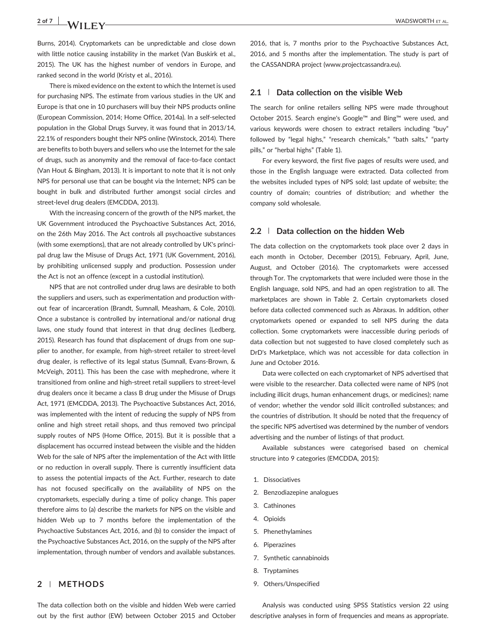2 of 7 WADSWORTH ET AL.

Burns, 2014). Cryptomarkets can be unpredictable and close down with little notice causing instability in the market (Van Buskirk et al., 2015). The UK has the highest number of vendors in Europe, and ranked second in the world (Kristy et al., 2016).

There is mixed evidence on the extent to which the Internet is used for purchasing NPS. The estimate from various studies in the UK and Europe is that one in 10 purchasers will buy their NPS products online (European Commission, 2014; Home Office, 2014a). In a self‐selected population in the Global Drugs Survey, it was found that in 2013/14, 22.1% of responders bought their NPS online (Winstock, 2014). There are benefits to both buyers and sellers who use the Internet for the sale of drugs, such as anonymity and the removal of face‐to‐face contact (Van Hout & Bingham, 2013). It is important to note that it is not only NPS for personal use that can be bought via the Internet; NPS can be bought in bulk and distributed further amongst social circles and street-level drug dealers (EMCDDA, 2013).

With the increasing concern of the growth of the NPS market, the UK Government introduced the Psychoactive Substances Act, 2016, on the 26th May 2016. The Act controls all psychoactive substances (with some exemptions), that are not already controlled by UK's principal drug law the Misuse of Drugs Act, 1971 (UK Government, 2016), by prohibiting unlicensed supply and production. Possession under the Act is not an offence (except in a custodial institution).

NPS that are not controlled under drug laws are desirable to both the suppliers and users, such as experimentation and production without fear of incarceration (Brandt, Sumnall, Measham, & Cole, 2010). Once a substance is controlled by international and/or national drug laws, one study found that interest in that drug declines (Ledberg, 2015). Research has found that displacement of drugs from one supplier to another, for example, from high‐street retailer to street‐level drug dealer, is reflective of its legal status (Sumnall, Evans‐Brown, & McVeigh, 2011). This has been the case with mephedrone, where it transitioned from online and high‐street retail suppliers to street‐level drug dealers once it became a class B drug under the Misuse of Drugs Act, 1971 (EMCDDA, 2013). The Psychoactive Substances Act, 2016, was implemented with the intent of reducing the supply of NPS from online and high street retail shops, and thus removed two principal supply routes of NPS (Home Office, 2015). But it is possible that a displacement has occurred instead between the visible and the hidden Web for the sale of NPS after the implementation of the Act with little or no reduction in overall supply. There is currently insufficient data to assess the potential impacts of the Act. Further, research to date has not focused specifically on the availability of NPS on the cryptomarkets, especially during a time of policy change. This paper therefore aims to (a) describe the markets for NPS on the visible and hidden Web up to 7 months before the implementation of the Psychoactive Substances Act, 2016, and (b) to consider the impact of the Psychoactive Substances Act, 2016, on the supply of the NPS after implementation, through number of vendors and available substances.

# 2 | METHODS

The data collection both on the visible and hidden Web were carried out by the first author (EW) between October 2015 and October

2016, that is, 7 months prior to the Psychoactive Substances Act, 2016, and 5 months after the implementation. The study is part of the CASSANDRA project ([www.projectcassandra.eu\)](http://www.projectcassandra.eu).

### 2.1 | Data collection on the visible Web

The search for online retailers selling NPS were made throughout October 2015. Search engine's Google™ and Bing™ were used, and various keywords were chosen to extract retailers including "buy" followed by "legal highs," "research chemicals," "bath salts," "party pills," or "herbal highs" (Table 1).

For every keyword, the first five pages of results were used, and those in the English language were extracted. Data collected from the websites included types of NPS sold; last update of website; the country of domain; countries of distribution; and whether the company sold wholesale.

### 2.2 | Data collection on the hidden Web

The data collection on the cryptomarkets took place over 2 days in each month in October, December (2015), February, April, June, August, and October (2016). The cryptomarkets were accessed through Tor. The cryptomarkets that were included were those in the English language, sold NPS, and had an open registration to all. The marketplaces are shown in Table 2. Certain cryptomarkets closed before data collected commenced such as Abraxas. In addition, other cryptomarkets opened or expanded to sell NPS during the data collection. Some cryptomarkets were inaccessible during periods of data collection but not suggested to have closed completely such as DrD's Marketplace, which was not accessible for data collection in June and October 2016.

Data were collected on each cryptomarket of NPS advertised that were visible to the researcher. Data collected were name of NPS (not including illicit drugs, human enhancement drugs, or medicines); name of vendor; whether the vendor sold illicit controlled substances; and the countries of distribution. It should be noted that the frequency of the specific NPS advertised was determined by the number of vendors advertising and the number of listings of that product.

Available substances were categorised based on chemical structure into 9 categories (EMCDDA, 2015):

- 1. Dissociatives
- 2. Benzodiazepine analogues
- 3. Cathinones
- 4. Opioids
- 5. Phenethylamines
- 6. Piperazines
- 7. Synthetic cannabinoids
- 8. Tryptamines
- 9. Others/Unspecified

Analysis was conducted using SPSS Statistics version 22 using descriptive analyses in form of frequencies and means as appropriate.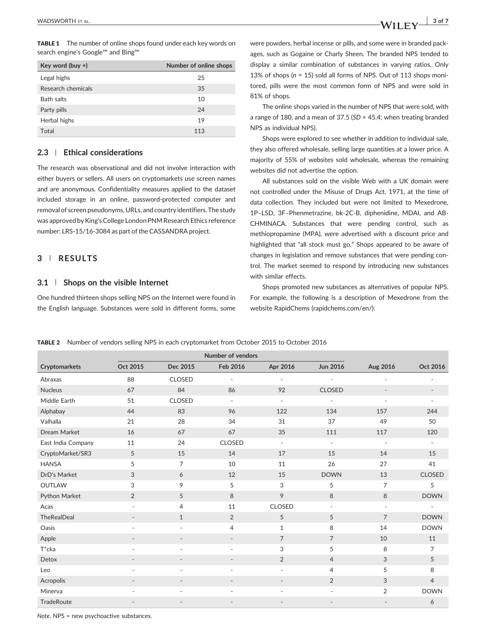TABLE 1 The number of online shops found under each key words on search engine's Google™ and Bing™

| Key word (buy $+$ ) | Number of online shops |
|---------------------|------------------------|
| Legal highs         | 25                     |
| Research chemicals  | 35                     |
| <b>Bath salts</b>   | 10                     |
| Party pills         | 24                     |
| Herbal highs        | 19                     |
| Total               | 113                    |

## 2.3 | Ethical considerations

The research was observational and did not involve interaction with either buyers or sellers. All users on cryptomarkets use screen names and are anonymous. Confidentiality measures applied to the dataset included storage in an online, password‐protected computer and removal of screen pseudonyms, URLs, and country identifiers. The study was approved by King's College London PNM Research Ethics reference number: LRS‐15/16‐3084 as part of the CASSANDRA project.

# 3 | RESULTS

## 3.1 | Shops on the visible Internet

One hundred thirteen shops selling NPS on the Internet were found in the English language. Substances were sold in different forms, some were powders, herbal incense or pills, and some were in branded packages, such as Gogaine or Charly Sheen. The branded NPS tended to display a similar combination of substances in varying ratios. Only 13% of shops ( $n = 15$ ) sold all forms of NPS. Out of 113 shops monitored, pills were the most common form of NPS and were sold in 81% of shops.

The online shops varied in the number of NPS that were sold, with a range of 180, and a mean of 37.5 (SD = 45.4; when treating branded NPS as individual NPS).

Shops were explored to see whether in addition to individual sale, they also offered wholesale, selling large quantities at a lower price. A majority of 55% of websites sold wholesale, whereas the remaining websites did not advertise the option.

All substances sold on the visible Web with a UK domain were not controlled under the Misuse of Drugs Act, 1971, at the time of data collection. They included but were not limited to Mexedrone, 1P–LSD, 3F–Phenmetrazine, bk‐2C‐B, diphenidine, MDAI, and AB‐ CHMINACA. Substances that were pending control, such as methiopropamine (MPA), were advertised with a discount price and highlighted that "all stock must go." Shops appeared to be aware of changes in legislation and remove substances that were pending control. The market seemed to respond by introducing new substances with similar effects.

Shops promoted new substances as alternatives of popular NPS. For example, the following is a description of Mexedrone from the website RapidChems ([rapidchems.com/en](http://rapidchems.com/en)/):

|                    |                          |                          | Number of vendors        |                              |                          |                          |                          |
|--------------------|--------------------------|--------------------------|--------------------------|------------------------------|--------------------------|--------------------------|--------------------------|
| Cryptomarkets      | Oct 2015                 | Dec 2015                 | Feb 2016                 | Apr 2016                     | <b>Jun 2016</b>          | Aug 2016                 | Oct 2016                 |
| Abraxas            | 88                       | <b>CLOSED</b>            | $\overline{\phantom{a}}$ | ٠                            | ÷,                       |                          |                          |
| <b>Nucleus</b>     | 67                       | 84                       | 86                       | 92                           | <b>CLOSED</b>            | $\overline{\phantom{a}}$ | $\overline{\phantom{a}}$ |
| Middle Earth       | 51                       | <b>CLOSED</b>            | $\overline{\phantom{a}}$ | $\sim$                       | $\overline{\phantom{a}}$ | $\overline{\phantom{a}}$ | $\overline{\phantom{a}}$ |
| Alphabay           | 44                       | 83                       | 96                       | 122                          | 134                      | 157                      | 244                      |
| Valhalla           | 21                       | 28                       | 34                       | 31                           | 37                       | 49                       | 50                       |
| Dream Market       | 16                       | 67                       | 67                       | 35                           | 111                      | 117                      | 120                      |
| East India Company | 11                       | 24                       | <b>CLOSED</b>            | $\overline{\phantom{a}}$     | $\overline{\phantom{a}}$ | $\overline{\phantom{a}}$ |                          |
| CryptoMarket/SR3   | 5                        | 15                       | 14                       | 17                           | 15                       | 14                       | 15                       |
| <b>HANSA</b>       | 5                        | $\overline{7}$           | 10                       | 11                           | 26                       | 27                       | 41                       |
| DrD's Market       | 3                        | 6                        | 12                       | 15                           | <b>DOWN</b>              | 13                       | <b>CLOSED</b>            |
| <b>OUTLAW</b>      | 3                        | 9                        | 5                        | 3                            | 5                        | $\overline{7}$           | 5                        |
| Python Market      | $\overline{2}$           | 5                        | 8                        | 9                            | 8                        | 8                        | <b>DOWN</b>              |
| Acas               | $\overline{\phantom{a}}$ | 4                        | 11                       | <b>CLOSED</b>                | $\overline{\phantom{a}}$ | ä,                       | $\sim$                   |
| <b>TheRealDeal</b> | $\overline{\phantom{m}}$ | $\mathbf{1}$             | 2                        | 5                            | 5                        | $\overline{7}$           | <b>DOWN</b>              |
| Oasis              | $\overline{a}$           | $\overline{\phantom{a}}$ | $\overline{4}$           | $\mathbf{1}$                 | 8                        | 14                       | <b>DOWN</b>              |
| Apple              |                          | $\overline{\phantom{a}}$ | $\overline{\phantom{a}}$ | $\overline{7}$               | $\overline{7}$           | 10                       | 11                       |
| T*cka              | $\overline{a}$           | $\overline{\phantom{a}}$ | $\overline{\phantom{a}}$ | 3                            | 5                        | 8                        | $\overline{7}$           |
| Detox              |                          | $\overline{\phantom{a}}$ |                          | $\overline{2}$               | $\overline{4}$           | 3                        | 5                        |
| Leo                | $\overline{\phantom{a}}$ | $\overline{\phantom{a}}$ | $\overline{\phantom{a}}$ | $\overline{\phantom{a}}$     | $\overline{4}$           | 5                        | 8                        |
| Acropolis          |                          | $\overline{\phantom{a}}$ |                          | $\qquad \qquad \blacksquare$ | $\overline{2}$           | 3                        | $\overline{4}$           |
| Minerva            |                          | ÷,                       | ÷.                       | ÷,                           | ٠                        | $\overline{2}$           | <b>DOWN</b>              |
| <b>TradeRoute</b>  |                          |                          |                          |                              |                          |                          | 6                        |

#### TABLE 2 Number of vendors selling NPS in each cryptomarket from October 2015 to October 2016

Note. NPS = new psychoactive substances.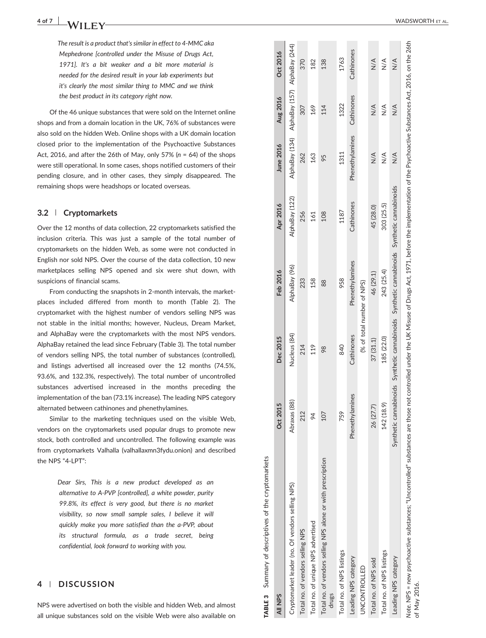The result is a product that's similar in effect to 4 ‐MMC aka Mephedrone [controlled under the Misuse of Drugs Act, 1971]. It's a bit weaker and a bit more material is needed for the desired result in your lab experiments but it's clearly the most similar thing to MMC and we think the best product in its category right now.

Of the 46 unique substances that were sold on the Internet online shops and from a domain location in the UK, 76% of substances were also sold on the hidden Web. Online shops with a UK domain location closed prior to the implementation of the Psychoactive Substances Act, 2016, and after the 26th of May, only 57% ( n = 64) of the shops were still operational. In some cases, shops notified customers of their pending closure, and in other cases, they simply disappeared. The remaining shops were headshops or located overseas.

### 3.2 | Cryptomarkets

Over the 12 months of data collection, 22 cryptomarkets satisfied the inclusion criteria. This was just a sample of the total number of cryptomarkets on the hidden Web, as some were not conducted in English nor sold NPS. Over the course of the data collection, 10 new marketplaces selling NPS opened and six were shut down, with suspicions of financial scams.

From conducting the snapshots in 2 ‐month intervals, the marketplaces included differed from month to month (Table 2). The cryptomarket with the highest number of vendors selling NPS was not stable in the initial months; however, Nucleus, Dream Market, and AlphaBay were the cryptomarkets with the most NPS vendors. AlphaBay retained the lead since February (Table 3). The total number of vendors selling NPS, the total number of substances (controlled), and listings advertised all increased over the 12 months (74.5%, 93.6%, and 132.3%, respectively). The total number of uncontrolled substances advertised increased in the months preceding the implementation of the ban (73.1% increase). The leading NPS category alternated between cathinones and phenethylamines.

Similar to the marketing techniques used on the visible Web, vendors on the cryptomarkets used popular drugs to promote new stock, both controlled and uncontrolled. The following example was from cryptomarkets Valhalla (valhallaxmn3fydu.onion) and described the NPS "4-LPT":

> Dear Sirs, This is a new product developed as an alternative to A ‐PVP [controlled], a white powder, purity 99.8%, its effect is very good, but there is no market visibility, so now small sample sales, I believe it will quickly make you more satisfied than the a ‐PVP, about its structural formula, as a trade secret, being confidential, look forward to working with you.

# 4 | DISCUSSION

NPS were advertised on both the visible and hidden Web, and almost all unique substances sold on the visible Web were also available on

| TABLE 3 Summary of descriptives of the cryptomarkets                                                                                                                                                                                |                 |              |                                                                                             |                |                                              |               |               |
|-------------------------------------------------------------------------------------------------------------------------------------------------------------------------------------------------------------------------------------|-----------------|--------------|---------------------------------------------------------------------------------------------|----------------|----------------------------------------------|---------------|---------------|
| All NPS                                                                                                                                                                                                                             | Oct 2015        | Dec 2015     | Feb 2016                                                                                    | Apr 2016       | <b>June 2016</b>                             | Aug 2016      | Oct 2016      |
| Cryptomarket leader (no. Of vendors selling NPS)                                                                                                                                                                                    | Abraxas (88)    | Nucleus (84) | AlphaBay (96)                                                                               | AlphaBay (122) | AlphaBay (134) AlphaBay (157) AlphaBay (244) |               |               |
| Total no. of vendors selling NPS                                                                                                                                                                                                    | 212             | 214          | 233                                                                                         | 256            | 262                                          | 307           | 370           |
| Total no. of unique NPS advertised                                                                                                                                                                                                  | 24              | 119          | 158                                                                                         | 161            | 163                                          | 169           | 182           |
| Total no. of vendors selling NPS alone or with prescription<br>drugs                                                                                                                                                                | 107             | 98           | 88                                                                                          | 108            | 95                                           | 114           | 138           |
| Total no. of NPS listings                                                                                                                                                                                                           | 759             | 840          | 958                                                                                         | 1187           | 1311                                         | 1322          | 1763          |
| Leading NPS category                                                                                                                                                                                                                | Phenethylamines | Cathinones   | Phenethylamines                                                                             | Cathinones     | Phenethylamines                              | Cathinones    | Cathinones    |
| UNCONTROLLED                                                                                                                                                                                                                        |                 |              | (% of total number of NPS)                                                                  |                |                                              |               |               |
| Total no. of NPS sold                                                                                                                                                                                                               | 26 (27.7)       | 37(31.1)     | 46 (29.1)                                                                                   | 45 (28.0)      | $\frac{4}{2}$                                | $\frac{4}{2}$ | $\frac{4}{2}$ |
| Total no. of NPS listings                                                                                                                                                                                                           | 142 (18.9)      | 185 (22.0)   | 243 (25.4)                                                                                  | 303 (25.5)     | $\frac{4}{2}$                                | $\frac{4}{2}$ | $\leq$        |
| Leading NPS category                                                                                                                                                                                                                |                 |              | Synthetic cannabinoids Synthetic cannabinoids Synthetic cannabinoids Synthetic cannabinoids |                | $\frac{4}{2}$                                | $\frac{4}{2}$ | $\leq$        |
| Note. NPS = new psychoactive substances; "Uncontrolled" substances are those not controlled under the UK Misuse of Drugs Act, 1971, before the implementation of the Psychoactive Substances Act, 2016, on the 26th<br>of May 2016. |                 |              |                                                                                             |                |                                              |               |               |

Summary of descriptives of the cryptomarkets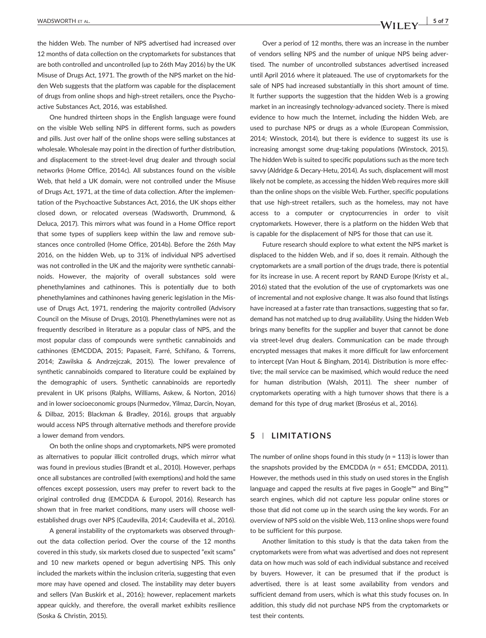the hidden Web. The number of NPS advertised had increased over 12 months of data collection on the cryptomarkets for substances that are both controlled and uncontrolled (up to 26th May 2016) by the UK Misuse of Drugs Act, 1971. The growth of the NPS market on the hidden Web suggests that the platform was capable for the displacement of drugs from online shops and high‐street retailers, once the Psychoactive Substances Act, 2016, was established.

One hundred thirteen shops in the English language were found on the visible Web selling NPS in different forms, such as powders and pills. Just over half of the online shops were selling substances at wholesale. Wholesale may point in the direction of further distribution, and displacement to the street‐level drug dealer and through social networks (Home Office, 2014c). All substances found on the visible Web, that held a UK domain, were not controlled under the Misuse of Drugs Act, 1971, at the time of data collection. After the implementation of the Psychoactive Substances Act, 2016, the UK shops either closed down, or relocated overseas (Wadsworth, Drummond, & Deluca, 2017). This mirrors what was found in a Home Office report that some types of suppliers keep within the law and remove substances once controlled (Home Office, 2014b). Before the 26th May 2016, on the hidden Web, up to 31% of individual NPS advertised was not controlled in the UK and the majority were synthetic cannabinoids. However, the majority of overall substances sold were phenethylamines and cathinones. This is potentially due to both phenethylamines and cathinones having generic legislation in the Misuse of Drugs Act, 1971, rendering the majority controlled (Advisory Council on the Misuse of Drugs, 2010). Phenethylamines were not as frequently described in literature as a popular class of NPS, and the most popular class of compounds were synthetic cannabinoids and cathinones (EMCDDA, 2015; Papaseit, Farré, Schifano, & Torrens, 2014; Zawilska & Andrzejczak, 2015). The lower prevalence of synthetic cannabinoids compared to literature could be explained by the demographic of users. Synthetic cannabinoids are reportedly prevalent in UK prisons (Ralphs, Williams, Askew, & Norton, 2016) and in lower socioeconomic groups (Nurmedov, Yilmaz, Darcin, Noyan, & Dilbaz, 2015; Blackman & Bradley, 2016), groups that arguably would access NPS through alternative methods and therefore provide a lower demand from vendors.

On both the online shops and cryptomarkets, NPS were promoted as alternatives to popular illicit controlled drugs, which mirror what was found in previous studies (Brandt et al., 2010). However, perhaps once all substances are controlled (with exemptions) and hold the same offences except possession, users may prefer to revert back to the original controlled drug (EMCDDA & Europol, 2016). Research has shown that in free market conditions, many users will choose well‐ established drugs over NPS (Caudevilla, 2014; Caudevilla et al., 2016).

A general instability of the cryptomarkets was observed throughout the data collection period. Over the course of the 12 months covered in this study, six markets closed due to suspected "exit scams" and 10 new markets opened or begun advertising NPS. This only included the markets within the inclusion criteria, suggesting that even more may have opened and closed. The instability may deter buyers and sellers (Van Buskirk et al., 2016); however, replacement markets appear quickly, and therefore, the overall market exhibits resilience (Soska & Christin, 2015).

Over a period of 12 months, there was an increase in the number of vendors selling NPS and the number of unique NPS being advertised. The number of uncontrolled substances advertised increased until April 2016 where it plateaued. The use of cryptomarkets for the sale of NPS had increased substantially in this short amount of time. It further supports the suggestion that the hidden Web is a growing market in an increasingly technology-advanced society. There is mixed evidence to how much the Internet, including the hidden Web, are used to purchase NPS or drugs as a whole (European Commission, 2014; Winstock, 2014), but there is evidence to suggest its use is increasing amongst some drug-taking populations (Winstock, 2015). The hidden Web is suited to specific populations such as the more tech savvy (Aldridge & Decary-Hetu, 2014). As such, displacement will most likely not be complete, as accessing the hidden Web requires more skill than the online shops on the visible Web. Further, specific populations that use high‐street retailers, such as the homeless, may not have access to a computer or cryptocurrencies in order to visit cryptomarkets. However, there is a platform on the hidden Web that is capable for the displacement of NPS for those that can use it.

Future research should explore to what extent the NPS market is displaced to the hidden Web, and if so, does it remain. Although the cryptomarkets are a small portion of the drugs trade, there is potential for its increase in use. A recent report by RAND Europe (Kristy et al., 2016) stated that the evolution of the use of cryptomarkets was one of incremental and not explosive change. It was also found that listings have increased at a faster rate than transactions, suggesting that so far, demand has not matched up to drug availability. Using the hidden Web brings many benefits for the supplier and buyer that cannot be done via street‐level drug dealers. Communication can be made through encrypted messages that makes it more difficult for law enforcement to intercept (Van Hout & Bingham, 2014). Distribution is more effective; the mail service can be maximised, which would reduce the need for human distribution (Walsh, 2011). The sheer number of cryptomarkets operating with a high turnover shows that there is a demand for this type of drug market (Broséus et al., 2016).

## 5 | LIMITATIONS

The number of online shops found in this study ( $n = 113$ ) is lower than the snapshots provided by the EMCDDA  $(n = 651;$  EMCDDA, 2011). However, the methods used in this study on used stores in the English language and capped the results at five pages in Google™ and Bing™ search engines, which did not capture less popular online stores or those that did not come up in the search using the key words. For an overview of NPS sold on the visible Web, 113 online shops were found to be sufficient for this purpose.

Another limitation to this study is that the data taken from the cryptomarkets were from what was advertised and does not represent data on how much was sold of each individual substance and received by buyers. However, it can be presumed that if the product is advertised, there is at least some availability from vendors and sufficient demand from users, which is what this study focuses on. In addition, this study did not purchase NPS from the cryptomarkets or test their contents.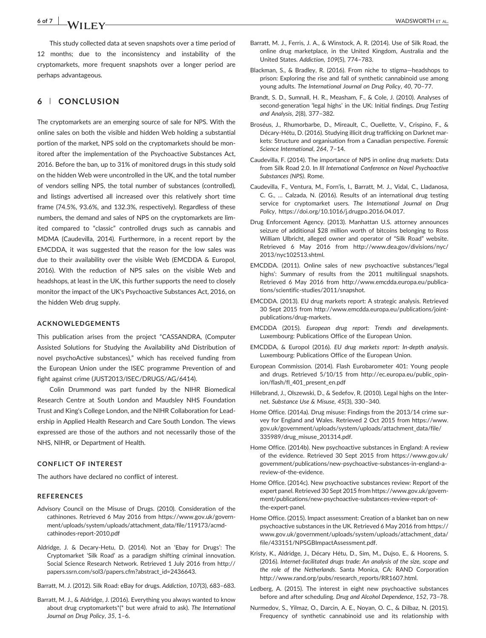# 6 of 7 WADSWORTH ET AL.

This study collected data at seven snapshots over a time period of 12 months; due to the inconsistency and instability of the cryptomarkets, more frequent snapshots over a longer period are perhaps advantageous.

# 6 | CONCLUSION

The cryptomarkets are an emerging source of sale for NPS. With the online sales on both the visible and hidden Web holding a substantial portion of the market, NPS sold on the cryptomarkets should be monitored after the implementation of the Psychoactive Substances Act, 2016. Before the ban, up to 31% of monitored drugs in this study sold on the hidden Web were uncontrolled in the UK, and the total number of vendors selling NPS, the total number of substances (controlled), and listings advertised all increased over this relatively short time frame (74.5%, 93.6%, and 132.3%, respectively). Regardless of these numbers, the demand and sales of NPS on the cryptomarkets are limited compared to "classic" controlled drugs such as cannabis and MDMA (Caudevilla, 2014). Furthermore, in a recent report by the EMCDDA, it was suggested that the reason for the low sales was due to their availability over the visible Web (EMCDDA & Europol, 2016). With the reduction of NPS sales on the visible Web and headshops, at least in the UK, this further supports the need to closely monitor the impact of the UK's Psychoactive Substances Act, 2016, on the hidden Web drug supply.

### ACKNOWLEDGEMENTS

This publication arises from the project "CASSANDRA, (Computer Assisted Solutions for Studying the Availability aNd Distribution of novel psychoActive substances)," which has received funding from the European Union under the ISEC programme Prevention of and fight against crime (JUST2013/ISEC/DRUGS/AG/6414).

Colin Drummond was part funded by the NIHR Biomedical Research Centre at South London and Maudsley NHS Foundation Trust and King's College London, and the NIHR Collaboration for Leadership in Applied Health Research and Care South London. The views expressed are those of the authors and not necessarily those of the NHS, NIHR, or Department of Health.

#### CONFLICT OF INTEREST

The authors have declared no conflict of interest.

### **REFERENCES**

- Advisory Council on the Misuse of Drugs. (2010). Consideration of the cathinones. Retrieved 6 May 2016 from [https://www.gov.uk/govern](https://www.gov.uk/government/uploads/system/uploads/attachment_data/file/119173/acmd-cathinodes-report-2010.pdf)[ment/uploads/system/uploads/attachment\\_data/file/119173/acmd](https://www.gov.uk/government/uploads/system/uploads/attachment_data/file/119173/acmd-cathinodes-report-2010.pdf)‐ [cathinodes](https://www.gov.uk/government/uploads/system/uploads/attachment_data/file/119173/acmd-cathinodes-report-2010.pdf)‐report‐2010.pdf
- Aldridge, J. & Decary‐Hetu, D. (2014). Not an 'Ebay for Drugs': The Cryptomarket 'Silk Road' as a paradigm shifting criminal innovation. Social Science Research Network. Retrieved 1 July 2016 from [http://](http://papers.ssrn.com/sol3/papers.cfm?abstract_id=2436643) [papers.ssrn.com/sol3/papers.cfm?abstract\\_id=2436643.](http://papers.ssrn.com/sol3/papers.cfm?abstract_id=2436643)
- Barratt, M. J. (2012). Silk Road: eBay for drugs. Addiction, 107(3), 683–683.
- Barratt, M. J., & Aldridge, J. (2016). Everything you always wanted to know about drug cryptomarkets\*(\* but were afraid to ask). The International Journal on Drug Policy, 35, 1–6.
- Barratt, M. J., Ferris, J. A., & Winstock, A. R. (2014). Use of Silk Road, the online drug marketplace, in the United Kingdom, Australia and the United States. Addiction, 109(5), 774–783.
- Blackman, S., & Bradley, R. (2016). From niche to stigma—headshops to prison: Exploring the rise and fall of synthetic cannabinoid use among young adults. The International Journal on Drug Policy, 40, 70–77.
- Brandt, S. D., Sumnall, H. R., Measham, F., & Cole, J. (2010). Analyses of second-generation 'legal highs' in the UK: Initial findings. Drug Testing and Analysis, 2(8), 377–382.
- Broséus, J., Rhumorbarbe, D., Mireault, C., Ouellette, V., Crispino, F., & Décary‐Hétu, D. (2016). Studying illicit drug trafficking on Darknet markets: Structure and organisation from a Canadian perspective. Forensic Science International, 264, 7–14.
- Caudevilla, F. (2014). The importance of NPS in online drug markets: Data from Silk Road 2.0. In III International Conference on Novel Psychoactive Substances (NPS). Rome.
- Caudevilla, F., Ventura, M., Forn'is, I., Barratt, M. J., Vidal, C., Lladanosa, C. G., … Calzada, N. (2016). Results of an international drug testing service for cryptomarket users. The International Journal on Drug Policy,<https://doi.org/10.1016/j.drugpo.2016.04.017>.
- Drug Enforcement Agency. (2013). Manhattan U.S. attorney announces seizure of additional \$28 million worth of bitcoins belonging to Ross William Ulbricht, alleged owner and operator of "Silk Road" website. Retrieved 6 May 2016 from [http://www.dea.gov/divisions/nyc/](http://www.dea.gov/divisions/nyc/2013/nyc102513.shtml) [2013/nyc102513.shtml](http://www.dea.gov/divisions/nyc/2013/nyc102513.shtml).
- EMCDDA. (2011). Online sales of new psychoactive substances/'legal highs': Summary of results from the 2011 multilingual snapshots. Retrieved 6 May 2016 from [http://www.emcdda.europa.eu/publica](http://www.emcdda.europa.eu/publications/scientific-studies/2011/snapshot)tions/scientific‐[studies/2011/snapshot](http://www.emcdda.europa.eu/publications/scientific-studies/2011/snapshot).
- EMCDDA. (2013). EU drug markets report: A strategic analysis. Retrieved 30 Sept 2015 from [http://www.emcdda.europa.eu/publications/joint](http://www.emcdda.europa.eu/publications/joint-publications/drug-markets)‐ [publications/drug](http://www.emcdda.europa.eu/publications/joint-publications/drug-markets)‐markets.
- EMCDDA (2015). European drug report: Trends and developments. Luxembourg: Publications Office of the European Union.
- EMCDDA, & Europol (2016). EU drug markets report: In‐depth analysis. Luxembourg: Publications Office of the European Union.
- European Commission. (2014). Flash Eurobarometer 401: Young people and drugs. Retrieved 5/10/15 from [http://ec.europa.eu/public\\_opin](http://ec.europa.eu/public_opinion/flash/fl_401_present_en.pdf)[ion/flash/fl\\_401\\_present\\_en.pdf](http://ec.europa.eu/public_opinion/flash/fl_401_present_en.pdf)
- Hillebrand, J., Olszewski, D., & Sedefov, R. (2010). Legal highs on the Internet. Substance Use & Misuse, 45(3), 330–340.
- Home Office. (2014a). Drug misuse: Findings from the 2013/14 crime survey for England and Wales. Retrieved 2 Oct 2015 from [https://www.](https://www.gov.uk/government/uploads/system/uploads/attachment_data/file/335989/drug_misuse_201314.pdf) [gov.uk/government/uploads/system/uploads/attachment\\_data/file/](https://www.gov.uk/government/uploads/system/uploads/attachment_data/file/335989/drug_misuse_201314.pdf) [335989/drug\\_misuse\\_201314.pdf](https://www.gov.uk/government/uploads/system/uploads/attachment_data/file/335989/drug_misuse_201314.pdf).
- Home Office. (2014b). New psychoactive substances in England: A review of the evidence. Retrieved 30 Sept 2015 from [https://www.gov.uk/](https://www.gov.uk/government/publications/new-psychoactive-substances-in-england-a-review-of-the-evidence) [government/publications/new](https://www.gov.uk/government/publications/new-psychoactive-substances-in-england-a-review-of-the-evidence)‐psychoactive‐substances‐in‐england‐a‐ review‐of‐the‐[evidence](https://www.gov.uk/government/publications/new-psychoactive-substances-in-england-a-review-of-the-evidence).
- Home Office. (2014c). New psychoactive substances review: Report of the expert panel. Retrieved 30 Sept 2015 from [https://www.gov.uk/govern](https://www.gov.uk/government/publications/new-psychoactive-substances-review-report-of-the-expert-panel)[ment/publications/new](https://www.gov.uk/government/publications/new-psychoactive-substances-review-report-of-the-expert-panel)‐psychoactive‐substances‐review‐report‐of‐ the‐[expert](https://www.gov.uk/government/publications/new-psychoactive-substances-review-report-of-the-expert-panel)‐panel.
- Home Office. (2015). Impact assessment: Creation of a blanket ban on new psychoactive substances in the UK. Retrieved 6 May 2016 from [https://](https://www.gov.uk/government/uploads/system/uploads/attachment_data/file/433151/NPSGBImpactAssessment.pdf) [www.gov.uk/government/uploads/system/uploads/attachment\\_data/](https://www.gov.uk/government/uploads/system/uploads/attachment_data/file/433151/NPSGBImpactAssessment.pdf) [file/433151/NPSGBImpactAssessment.pdf](https://www.gov.uk/government/uploads/system/uploads/attachment_data/file/433151/NPSGBImpactAssessment.pdf).
- Kristy, K., Aldridge, J., Décary Hétu, D., Sim, M., Dujso, E., & Hoorens, S. (2016). Internet‐facilitated drugs trade: An analysis of the size, scope and the role of the Netherlands. Santa Monica, CA: RAND Corporation [http://www.rand.org/pubs/research\\_reports/RR1607.html](http://www.rand.org/pubs/research_reports/RR1607.html).
- Ledberg, A. (2015). The interest in eight new psychoactive substances before and after scheduling. Drug and Alcohol Dependence, 152, 73–78.
- Nurmedov, S., Yilmaz, O., Darcin, A. E., Noyan, O. C., & Dilbaz, N. (2015). Frequency of synthetic cannabinoid use and its relationship with